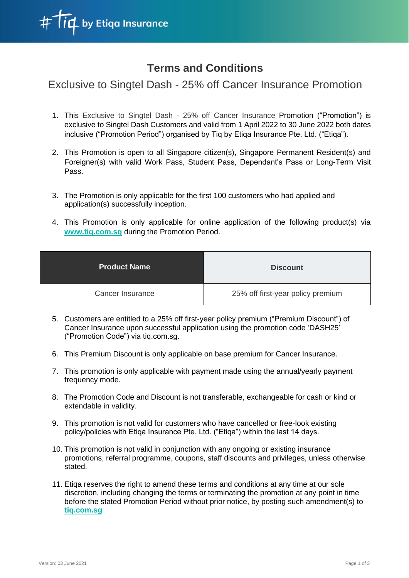

## **Terms and Conditions**

Exclusive to Singtel Dash - 25% off Cancer Insurance Promotion

- 1. This Exclusive to Singtel Dash 25% off Cancer Insurance Promotion ("Promotion") is exclusive to Singtel Dash Customers and valid from 1 April 2022 to 30 June 2022 both dates inclusive ("Promotion Period") organised by Tiq by Etiqa Insurance Pte. Ltd. ("Etiqa").
- 2. This Promotion is open to all Singapore citizen(s), Singapore Permanent Resident(s) and Foreigner(s) with valid Work Pass, Student Pass, Dependant's Pass or Long-Term Visit Pass.
- 3. The Promotion is only applicable for the first 100 customers who had applied and application(s) successfully inception.
- 4. This Promotion is only applicable for online application of the following product(s) via **www.tiq.com.sg** during the Promotion Period.

| <b>Product Name</b> | <b>Discount</b>                   |
|---------------------|-----------------------------------|
| Cancer Insurance    | 25% off first-year policy premium |

- 5. Customers are entitled to a 25% off first-year policy premium ("Premium Discount") of Cancer Insurance upon successful application using the promotion code 'DASH25' ("Promotion Code") via tiq.com.sg.
- 6. This Premium Discount is only applicable on base premium for Cancer Insurance.
- 7. This promotion is only applicable with payment made using the annual/yearly payment frequency mode.
- 8. The Promotion Code and Discount is not transferable, exchangeable for cash or kind or extendable in validity.
- 9. This promotion is not valid for customers who have cancelled or free-look existing policy/policies with Etiqa Insurance Pte. Ltd. ("Etiqa") within the last 14 days.
- 10. This promotion is not valid in conjunction with any ongoing or existing insurance promotions, referral programme, coupons, staff discounts and privileges, unless otherwise stated.
- 11. Etiqa reserves the right to amend these terms and conditions at any time at our sole discretion, including changing the terms or terminating the promotion at any point in time before the stated Promotion Period without prior notice, by posting such amendment(s) to **tiq.com.sg**